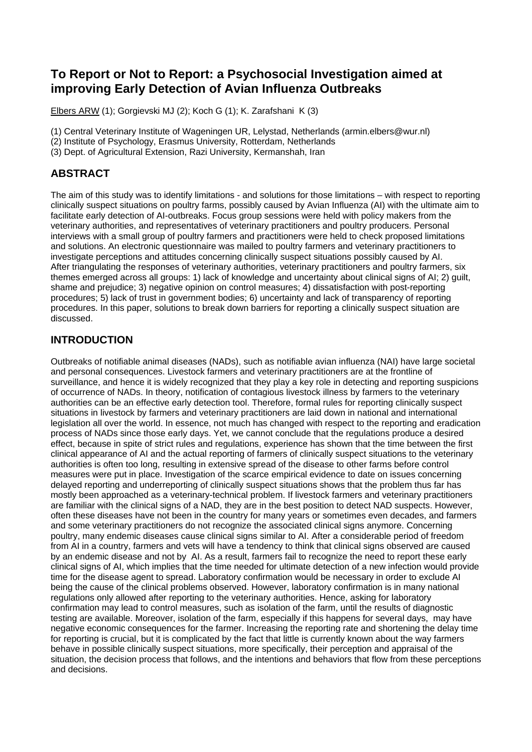# **To Report or Not to Report: a Psychosocial Investigation aimed at improving Early Detection of Avian Influenza Outbreaks**

Elbers ARW (1); Gorgievski MJ (2); Koch G (1); K. Zarafshani K (3)

- (1) Central Veterinary Institute of Wageningen UR, Lelystad, Netherlands (armin.elbers@wur.nl)
- (2) Institute of Psychology, Erasmus University, Rotterdam, Netherlands
- (3) Dept. of Agricultural Extension, Razi University, Kermanshah, Iran

# **ABSTRACT**

The aim of this study was to identify limitations - and solutions for those limitations – with respect to reporting clinically suspect situations on poultry farms, possibly caused by Avian Influenza (AI) with the ultimate aim to facilitate early detection of AI-outbreaks. Focus group sessions were held with policy makers from the veterinary authorities, and representatives of veterinary practitioners and poultry producers. Personal interviews with a small group of poultry farmers and practitioners were held to check proposed limitations and solutions. An electronic questionnaire was mailed to poultry farmers and veterinary practitioners to investigate perceptions and attitudes concerning clinically suspect situations possibly caused by AI. After triangulating the responses of veterinary authorities, veterinary practitioners and poultry farmers, six themes emerged across all groups: 1) lack of knowledge and uncertainty about clinical signs of AI; 2) guilt, shame and prejudice; 3) negative opinion on control measures; 4) dissatisfaction with post-reporting procedures; 5) lack of trust in government bodies; 6) uncertainty and lack of transparency of reporting procedures. In this paper, solutions to break down barriers for reporting a clinically suspect situation are discussed.

# **INTRODUCTION**

Outbreaks of notifiable animal diseases (NADs), such as notifiable avian influenza (NAI) have large societal and personal consequences. Livestock farmers and veterinary practitioners are at the frontline of surveillance, and hence it is widely recognized that they play a key role in detecting and reporting suspicions of occurrence of NADs. In theory, notification of contagious livestock illness by farmers to the veterinary authorities can be an effective early detection tool. Therefore, formal rules for reporting clinically suspect situations in livestock by farmers and veterinary practitioners are laid down in national and international legislation all over the world. In essence, not much has changed with respect to the reporting and eradication process of NADs since those early days. Yet, we cannot conclude that the regulations produce a desired effect, because in spite of strict rules and regulations, experience has shown that the time between the first clinical appearance of AI and the actual reporting of farmers of clinically suspect situations to the veterinary authorities is often too long, resulting in extensive spread of the disease to other farms before control measures were put in place. Investigation of the scarce empirical evidence to date on issues concerning delayed reporting and underreporting of clinically suspect situations shows that the problem thus far has mostly been approached as a veterinary-technical problem. If livestock farmers and veterinary practitioners are familiar with the clinical signs of a NAD, they are in the best position to detect NAD suspects. However, often these diseases have not been in the country for many years or sometimes even decades, and farmers and some veterinary practitioners do not recognize the associated clinical signs anymore. Concerning poultry, many endemic diseases cause clinical signs similar to AI. After a considerable period of freedom from AI in a country, farmers and vets will have a tendency to think that clinical signs observed are caused by an endemic disease and not by AI. As a result, farmers fail to recognize the need to report these early clinical signs of AI, which implies that the time needed for ultimate detection of a new infection would provide time for the disease agent to spread. Laboratory confirmation would be necessary in order to exclude AI being the cause of the clinical problems observed. However, laboratory confirmation is in many national regulations only allowed after reporting to the veterinary authorities. Hence, asking for laboratory confirmation may lead to control measures, such as isolation of the farm, until the results of diagnostic testing are available. Moreover, isolation of the farm, especially if this happens for several days, may have negative economic consequences for the farmer. Increasing the reporting rate and shortening the delay time for reporting is crucial, but it is complicated by the fact that little is currently known about the way farmers behave in possible clinically suspect situations, more specifically, their perception and appraisal of the situation, the decision process that follows, and the intentions and behaviors that flow from these perceptions and decisions.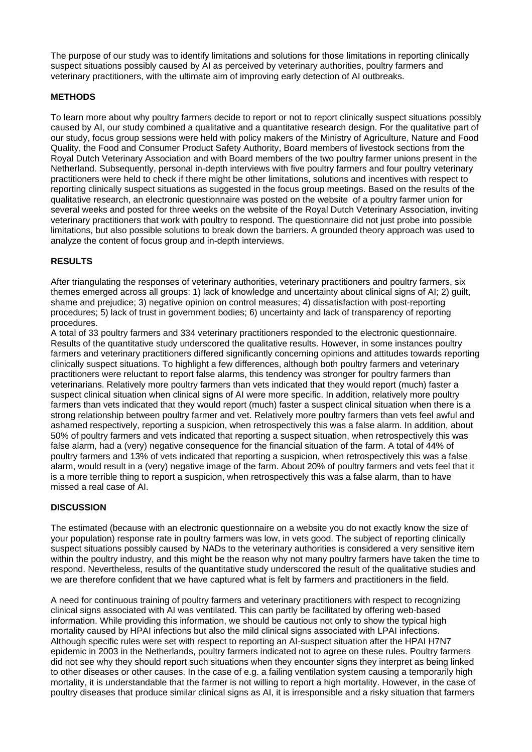The purpose of our study was to identify limitations and solutions for those limitations in reporting clinically suspect situations possibly caused by AI as perceived by veterinary authorities, poultry farmers and veterinary practitioners, with the ultimate aim of improving early detection of AI outbreaks.

### **METHODS**

To learn more about why poultry farmers decide to report or not to report clinically suspect situations possibly caused by AI, our study combined a qualitative and a quantitative research design. For the qualitative part of our study, focus group sessions were held with policy makers of the Ministry of Agriculture, Nature and Food Quality, the Food and Consumer Product Safety Authority, Board members of livestock sections from the Royal Dutch Veterinary Association and with Board members of the two poultry farmer unions present in the Netherland. Subsequently, personal in-depth interviews with five poultry farmers and four poultry veterinary practitioners were held to check if there might be other limitations, solutions and incentives with respect to reporting clinically suspect situations as suggested in the focus group meetings. Based on the results of the qualitative research, an electronic questionnaire was posted on the website of a poultry farmer union for several weeks and posted for three weeks on the website of the Royal Dutch Veterinary Association, inviting veterinary practitioners that work with poultry to respond. The questionnaire did not just probe into possible limitations, but also possible solutions to break down the barriers. A grounded theory approach was used to analyze the content of focus group and in-depth interviews.

## **RESULTS**

After triangulating the responses of veterinary authorities, veterinary practitioners and poultry farmers, six themes emerged across all groups: 1) lack of knowledge and uncertainty about clinical signs of AI; 2) guilt, shame and prejudice; 3) negative opinion on control measures; 4) dissatisfaction with post-reporting procedures; 5) lack of trust in government bodies; 6) uncertainty and lack of transparency of reporting procedures.

A total of 33 poultry farmers and 334 veterinary practitioners responded to the electronic questionnaire. Results of the quantitative study underscored the qualitative results. However, in some instances poultry farmers and veterinary practitioners differed significantly concerning opinions and attitudes towards reporting clinically suspect situations. To highlight a few differences, although both poultry farmers and veterinary practitioners were reluctant to report false alarms, this tendency was stronger for poultry farmers than veterinarians. Relatively more poultry farmers than vets indicated that they would report (much) faster a suspect clinical situation when clinical signs of AI were more specific. In addition, relatively more poultry farmers than vets indicated that they would report (much) faster a suspect clinical situation when there is a strong relationship between poultry farmer and vet. Relatively more poultry farmers than vets feel awful and ashamed respectively, reporting a suspicion, when retrospectively this was a false alarm. In addition, about 50% of poultry farmers and vets indicated that reporting a suspect situation, when retrospectively this was false alarm, had a (very) negative consequence for the financial situation of the farm. A total of 44% of poultry farmers and 13% of vets indicated that reporting a suspicion, when retrospectively this was a false alarm, would result in a (very) negative image of the farm. About 20% of poultry farmers and vets feel that it is a more terrible thing to report a suspicion, when retrospectively this was a false alarm, than to have missed a real case of AI.

#### **DISCUSSION**

The estimated (because with an electronic questionnaire on a website you do not exactly know the size of your population) response rate in poultry farmers was low, in vets good. The subject of reporting clinically suspect situations possibly caused by NADs to the veterinary authorities is considered a very sensitive item within the poultry industry, and this might be the reason why not many poultry farmers have taken the time to respond. Nevertheless, results of the quantitative study underscored the result of the qualitative studies and we are therefore confident that we have captured what is felt by farmers and practitioners in the field.

A need for continuous training of poultry farmers and veterinary practitioners with respect to recognizing clinical signs associated with AI was ventilated. This can partly be facilitated by offering web-based information. While providing this information, we should be cautious not only to show the typical high mortality caused by HPAI infections but also the mild clinical signs associated with LPAI infections. Although specific rules were set with respect to reporting an AI-suspect situation after the HPAI H7N7 epidemic in 2003 in the Netherlands, poultry farmers indicated not to agree on these rules. Poultry farmers did not see why they should report such situations when they encounter signs they interpret as being linked to other diseases or other causes. In the case of e.g. a failing ventilation system causing a temporarily high mortality, it is understandable that the farmer is not willing to report a high mortality. However, in the case of poultry diseases that produce similar clinical signs as AI, it is irresponsible and a risky situation that farmers